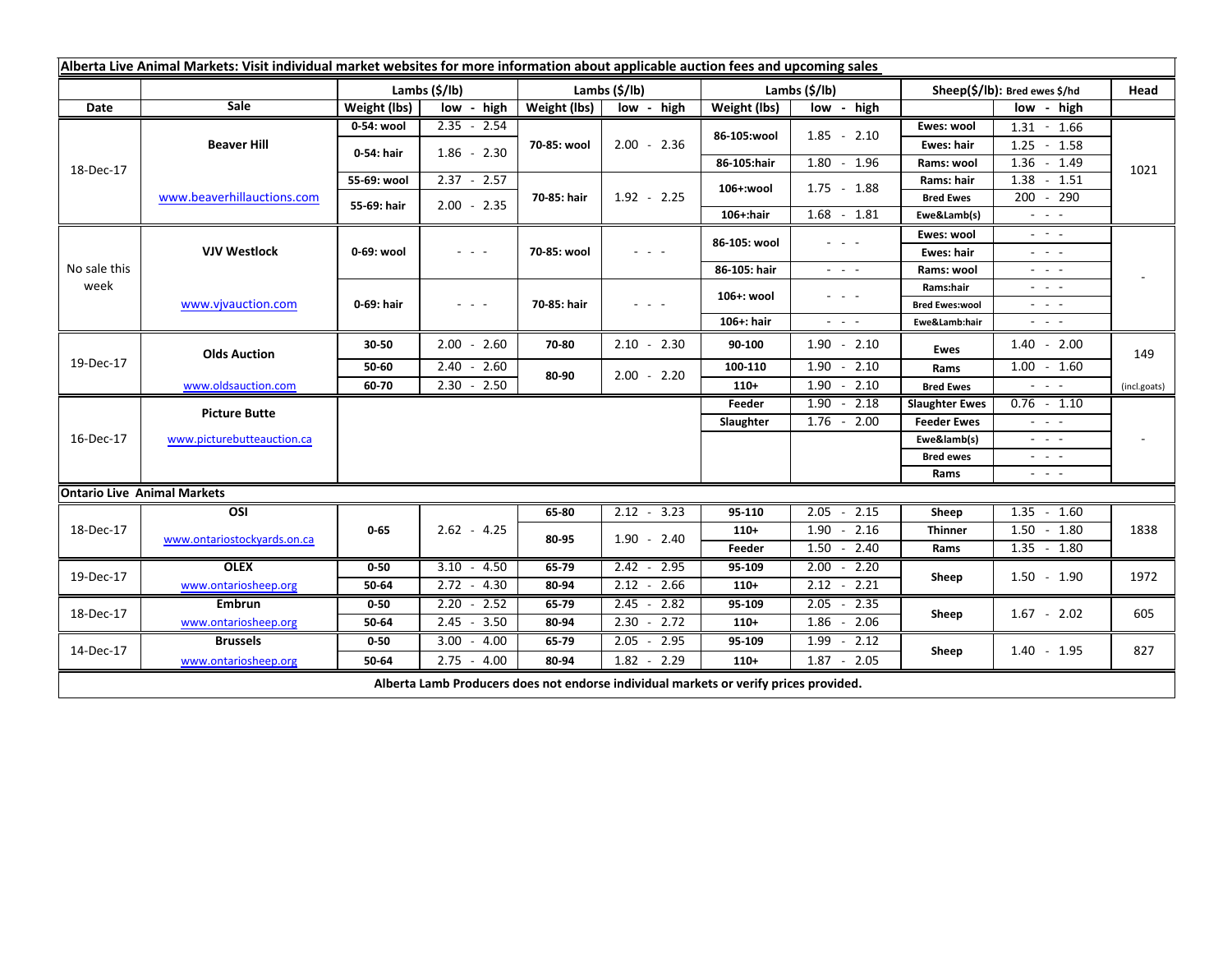|                      | Alberta Live Animal Markets: Visit individual market websites for more information about applicable auction fees and upcoming sales |                           |                                                                                                                           |               |                                                                                                                                                      |                       |                                                                 |                               |                                                                                                                                                      |                          |
|----------------------|-------------------------------------------------------------------------------------------------------------------------------------|---------------------------|---------------------------------------------------------------------------------------------------------------------------|---------------|------------------------------------------------------------------------------------------------------------------------------------------------------|-----------------------|-----------------------------------------------------------------|-------------------------------|------------------------------------------------------------------------------------------------------------------------------------------------------|--------------------------|
|                      |                                                                                                                                     | Lambs $(\frac{2}{3})$ lb) |                                                                                                                           | Lambs (\$/lb) |                                                                                                                                                      | Lambs $(\frac{2}{3})$ |                                                                 | Sheep(\$/lb): Bred ewes \$/hd |                                                                                                                                                      | Head                     |
| Date                 | Sale                                                                                                                                | Weight (lbs)              | low - high                                                                                                                | Weight (lbs)  | low - high                                                                                                                                           | Weight (lbs)          | low - high                                                      |                               | low - high                                                                                                                                           |                          |
| 18-Dec-17            | <b>Beaver Hill</b>                                                                                                                  | 0-54: wool                | $2.35 - 2.54$                                                                                                             | 70-85: wool   | $2.00 - 2.36$                                                                                                                                        | 86-105:wool           | $1.85 - 2.10$                                                   | Ewes: wool                    | $1.31 - 1.66$                                                                                                                                        |                          |
|                      |                                                                                                                                     | 0-54: hair                | $1.86 - 2.30$                                                                                                             |               |                                                                                                                                                      |                       |                                                                 | Ewes: hair                    | $1.25 - 1.58$                                                                                                                                        |                          |
|                      |                                                                                                                                     |                           |                                                                                                                           |               |                                                                                                                                                      | 86-105:hair           | $1.80 - 1.96$                                                   | Rams: wool                    | $1.36 - 1.49$                                                                                                                                        | 1021                     |
|                      | www.beaverhillauctions.com                                                                                                          | 55-69: wool               | $2.37 - 2.57$                                                                                                             | 70-85: hair   | $1.92 - 2.25$                                                                                                                                        | 106+:wool             | $1.75 - 1.88$                                                   | Rams: hair                    | $1.38 - 1.51$                                                                                                                                        |                          |
|                      |                                                                                                                                     | 55-69: hair               | $2.00 - 2.35$                                                                                                             |               |                                                                                                                                                      |                       |                                                                 | <b>Bred Ewes</b>              | $200 - 290$                                                                                                                                          |                          |
|                      |                                                                                                                                     |                           |                                                                                                                           |               |                                                                                                                                                      | $106+$ :hair          | $1.68 - 1.81$                                                   | Ewe&Lamb(s)                   | $\sigma_{\rm{eff}}$ , $\sigma_{\rm{eff}}$ , $\sigma_{\rm{eff}}$                                                                                      |                          |
| No sale this<br>week | <b>VJV Westlock</b>                                                                                                                 | 0-69: wool                | $\sigma_{\rm{eff}}$ , $\sigma_{\rm{eff}}$ , $\sigma_{\rm{eff}}$                                                           | 70-85: wool   | $\sigma_{\rm{eff}}$ , $\sigma_{\rm{eff}}$ , $\sigma_{\rm{eff}}$                                                                                      | 86-105: wool          | $\omega_{\rm{eff}}$ , $\omega_{\rm{eff}}$ , $\omega_{\rm{eff}}$ | Ewes: wool                    | $\omega_{\rm{eff}}$ , $\omega_{\rm{eff}}$ , $\omega_{\rm{eff}}$                                                                                      | $\overline{\phantom{a}}$ |
|                      |                                                                                                                                     |                           |                                                                                                                           |               |                                                                                                                                                      |                       |                                                                 | Ewes: hair                    | a na sa                                                                                                                                              |                          |
|                      |                                                                                                                                     |                           |                                                                                                                           |               |                                                                                                                                                      | 86-105: hair          | $\omega_{\rm{eff}}$ and $\omega_{\rm{eff}}$                     | Rams: wool                    | $\frac{1}{2} \left( \frac{1}{2} \right) \left( \frac{1}{2} \right) \left( \frac{1}{2} \right) \left( \frac{1}{2} \right)$                            |                          |
|                      | www.vjvauction.com                                                                                                                  | 0-69: hair                | $\frac{1}{2} \left( \frac{1}{2} \right) \left( \frac{1}{2} \right) \left( \frac{1}{2} \right) \left( \frac{1}{2} \right)$ | 70-85: hair   | $\frac{1}{2} \left( \frac{1}{2} \right) \left( \frac{1}{2} \right) \left( \frac{1}{2} \right) \left( \frac{1}{2} \right) \left( \frac{1}{2} \right)$ | 106+: wool            | - - -                                                           | Rams:hair                     | $\frac{1}{2} \left( \frac{1}{2} \right) \left( \frac{1}{2} \right) \left( \frac{1}{2} \right) \left( \frac{1}{2} \right) \left( \frac{1}{2} \right)$ |                          |
|                      |                                                                                                                                     |                           |                                                                                                                           |               |                                                                                                                                                      | 106+: hair            |                                                                 | <b>Bred Ewes:wool</b>         | an an an                                                                                                                                             |                          |
|                      |                                                                                                                                     |                           |                                                                                                                           |               |                                                                                                                                                      |                       | $\sigma_{\rm{eff}}=0.05$                                        | Ewe&Lamb:hair                 | $\frac{1}{2} \left( \frac{1}{2} \right) \left( \frac{1}{2} \right) \left( \frac{1}{2} \right) \left( \frac{1}{2} \right) \left( \frac{1}{2} \right)$ |                          |
| 19-Dec-17            | <b>Olds Auction</b>                                                                                                                 | 30-50                     | $2.00 - 2.60$                                                                                                             | 70-80         | $2.10 - 2.30$                                                                                                                                        | 90-100                | $1.90 - 2.10$                                                   | <b>Ewes</b>                   | $1.40 - 2.00$                                                                                                                                        | 149                      |
|                      |                                                                                                                                     | 50-60                     | $2.40 - 2.60$                                                                                                             | 80-90         | $2.00 - 2.20$                                                                                                                                        | 100-110               | $1.90 - 2.10$                                                   | Rams                          | $1.00 - 1.60$                                                                                                                                        |                          |
|                      | www.oldsauction.com                                                                                                                 | 60-70                     | $2.30 - 2.50$                                                                                                             |               |                                                                                                                                                      | $110+$                | $1.90 - 2.10$                                                   | <b>Bred Ewes</b>              | المراجات                                                                                                                                             | (incl.goats)             |
| 16-Dec-17            | <b>Picture Butte</b>                                                                                                                |                           |                                                                                                                           |               |                                                                                                                                                      | Feeder                | $1.90 - 2.18$                                                   | <b>Slaughter Ewes</b>         | $0.76 - 1.10$                                                                                                                                        | $\overline{\phantom{a}}$ |
|                      |                                                                                                                                     |                           |                                                                                                                           |               |                                                                                                                                                      | Slaughter             | $1.76 - 2.00$                                                   | <b>Feeder Ewes</b>            | $\omega_{\rm{max}}$ and $\omega_{\rm{max}}$                                                                                                          |                          |
|                      | www.picturebutteauction.ca                                                                                                          |                           |                                                                                                                           |               |                                                                                                                                                      |                       |                                                                 | Ewe&lamb(s)                   | $\omega_{\rm{eff}}$ , $\omega_{\rm{eff}}$ , $\omega_{\rm{eff}}$                                                                                      |                          |
|                      |                                                                                                                                     |                           |                                                                                                                           |               |                                                                                                                                                      |                       |                                                                 | <b>Bred ewes</b>              | $\omega_{\rm{eff}}$ and $\omega_{\rm{eff}}$                                                                                                          |                          |
|                      |                                                                                                                                     |                           |                                                                                                                           |               |                                                                                                                                                      |                       |                                                                 | Rams                          | - - -                                                                                                                                                |                          |
|                      | <b>Ontario Live Animal Markets</b>                                                                                                  |                           |                                                                                                                           |               |                                                                                                                                                      |                       |                                                                 |                               |                                                                                                                                                      |                          |
| 18-Dec-17            | OSI<br>www.ontariostockyards.on.ca                                                                                                  | $0 - 65$                  | $2.62 - 4.25$                                                                                                             | $65 - 80$     | $2.12 - 3.23$                                                                                                                                        | $95 - 110$            | $-2.15$<br>2.05                                                 | Sheep                         | $-1.60$<br>1.35<br>$1.50 - 1.80$<br>1838                                                                                                             |                          |
|                      |                                                                                                                                     |                           |                                                                                                                           | 80-95         | $1.90 - 2.40$                                                                                                                                        | $110+$                | $-2.16$<br>1.90                                                 | <b>Thinner</b>                |                                                                                                                                                      |                          |
|                      |                                                                                                                                     |                           |                                                                                                                           |               |                                                                                                                                                      | Feeder                | $1.50 - 2.40$                                                   | Rams                          | $1.35 - 1.80$                                                                                                                                        |                          |
| 19-Dec-17            | <b>OLEX</b>                                                                                                                         | $0 - 50$                  | $3.10 - 4.50$                                                                                                             | $65 - 79$     | $2.42 - 2.95$                                                                                                                                        | 95-109                | $2.00 - 2.20$                                                   | Sheep                         | $1.50 - 1.90$                                                                                                                                        | 1972                     |
|                      | www.ontariosheep.org                                                                                                                | 50-64                     | $2.72 - 4.30$                                                                                                             | 80-94         | $2.12 - 2.66$                                                                                                                                        | $110+$                | $2.12 - 2.21$                                                   |                               |                                                                                                                                                      |                          |
| 18-Dec-17            | <b>Embrun</b>                                                                                                                       | $0 - 50$                  | $2.20 - 2.52$                                                                                                             | $65 - 79$     | $2.45 - 2.82$                                                                                                                                        | 95-109                | $2.05 - 2.35$                                                   | Sheep                         | $1.67 - 2.02$                                                                                                                                        | 605                      |
|                      | www.ontariosheep.org                                                                                                                | 50-64                     | 2.45<br>$-3.50$                                                                                                           | 80-94         | $2.30 - 2.72$                                                                                                                                        | $110+$                | $1.86 - 2.06$                                                   |                               |                                                                                                                                                      |                          |
| 14-Dec-17            | <b>Brussels</b>                                                                                                                     | $0 - 50$                  | $3.00 - 4.00$                                                                                                             | $65 - 79$     | $2.05 - 2.95$                                                                                                                                        | 95-109                | $1.99 - 2.12$                                                   | Sheep                         | $1.40 - 1.95$                                                                                                                                        | 827                      |
|                      | www.ontariosheep.org                                                                                                                | 50-64                     | $2.75 - 4.00$                                                                                                             | 80-94         | $1.82 - 2.29$                                                                                                                                        | $110+$                | $1.87 - 2.05$                                                   |                               |                                                                                                                                                      |                          |
|                      |                                                                                                                                     |                           | Alberta Lamb Producers does not endorse individual markets or verify prices provided.                                     |               |                                                                                                                                                      |                       |                                                                 |                               |                                                                                                                                                      |                          |